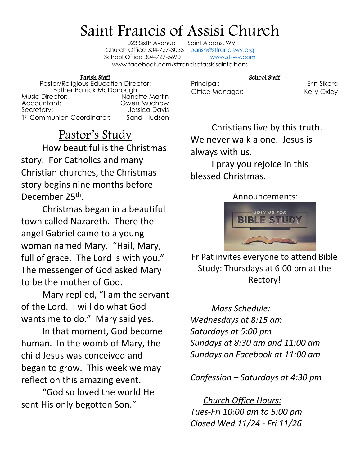## Saint Francis of Assisi Church

1023 Sixth Avenue Church Office 304-727-3033 [parish@stfranciswv.org](mailto:parish@stfranciswv.org) School Office 304-727-5690 [www.sfswv.com](http://www.sfswv.com/) www.facebook.com/stfrancisofassisisaintalbans

## Parish Staff

Pastor/Religious Education Director: Father Patrick McDonough Music Director:<br>Accountant: **Gwen Muchow** Secretary: Jessica Davis 1st Communion Coordinator: Sandi Hudson

Pastor's Study How beautiful is the Christmas story. For Catholics and many Christian churches, the Christmas story begins nine months before December 25<sup>th</sup>.

Christmas began in a beautiful town called Nazareth. There the angel Gabriel came to a young woman named Mary. "Hail, Mary, full of grace. The Lord is with you." The messenger of God asked Mary to be the mother of God.

Mary replied, "I am the servant of the Lord. I will do what God wants me to do." Mary said yes.

In that moment, God become human. In the womb of Mary, the child Jesus was conceived and began to grow. This week we may reflect on this amazing event.

"God so loved the world He sent His only begotten Son."

Principal: Erin Sikora Office Manager: Kelly Oxley

Christians live by this truth. We never walk alone. Jesus is always with us.

School Staff

I pray you rejoice in this blessed Christmas.

## Announcements:



Fr Pat invites everyone to attend Bible Study: Thursdays at 6:00 pm at the Rectory!

*Mass Schedule: Wednesdays at 8:15 am Saturdays at 5:00 pm Sundays at 8:30 am and 11:00 am Sundays on Facebook at 11:00 am*

*Confession – Saturdays at 4:30 pm*

 *Church Office Hours: Tues-Fri 10:00 am to 5:00 pm Closed Wed 11/24 - Fri 11/26*